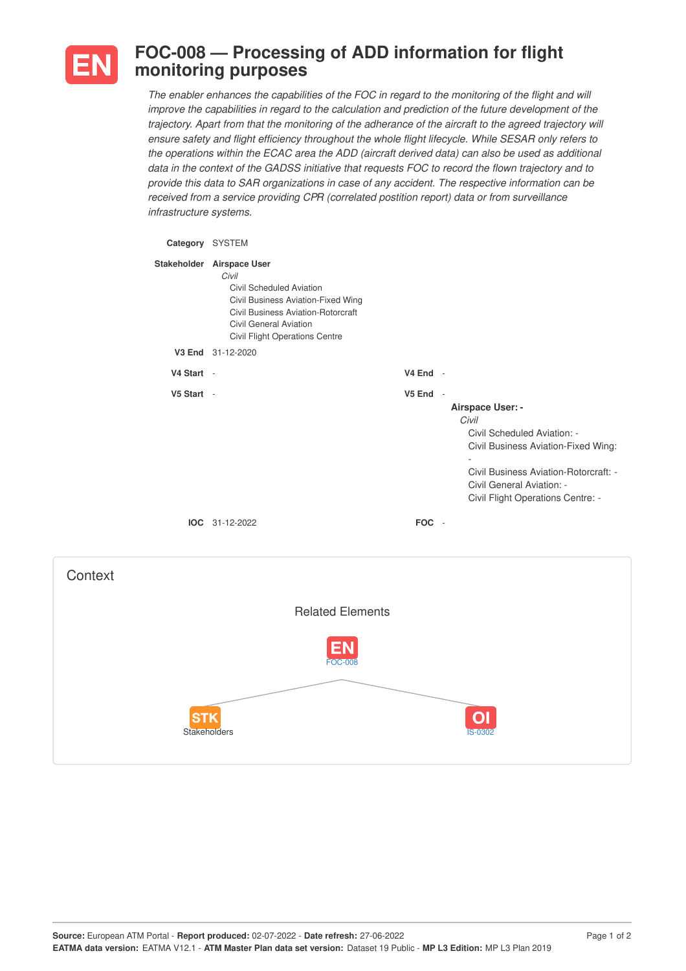

## **FOC-008 — Processing of ADD information for flight monitoring purposes**

The enabler enhances the capabilities of the FOC in regard to the monitoring of the flight and will *improve the capabilities in regard to the calculation and prediction of the future development of the trajectory. Apart from that the monitoring of the adherance of the aircraft to the agreed trajectory will ensure safety and flight efficiency throughout the whole flight lifecycle. While SESAR only refers to the operations within the ECAC area the ADD (aircraft derived data) can also be used as additional* data in the context of the GADSS initiative that requests FOC to record the flown trajectory and to *provide this data to SAR organizations in case of any accident. The respective information can be received from a service providing CPR (correlated postition report) data or from surveillance infrastructure systems.*